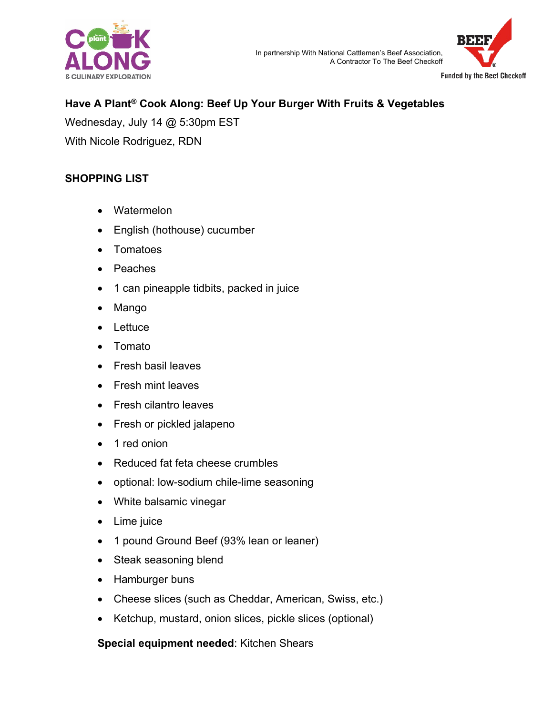



# **Have A Plant® Cook Along: Beef Up Your Burger With Fruits & Vegetables**

Wednesday, July 14 @ 5:30pm EST With Nicole Rodriguez, RDN

### **SHOPPING LIST**

- Watermelon
- English (hothouse) cucumber
- Tomatoes
- **Peaches**
- 1 can pineapple tidbits, packed in juice
- Mango
- Lettuce
- Tomato
- Fresh basil leaves
- Fresh mint leaves
- Fresh cilantro leaves
- Fresh or pickled jalapeno
- 1 red onion
- Reduced fat feta cheese crumbles
- optional: low-sodium chile-lime seasoning
- White balsamic vinegar
- Lime juice
- 1 pound Ground Beef (93% lean or leaner)
- Steak seasoning blend
- Hamburger buns
- Cheese slices (such as Cheddar, American, Swiss, etc.)
- Ketchup, mustard, onion slices, pickle slices (optional)

### **Special equipment needed**: Kitchen Shears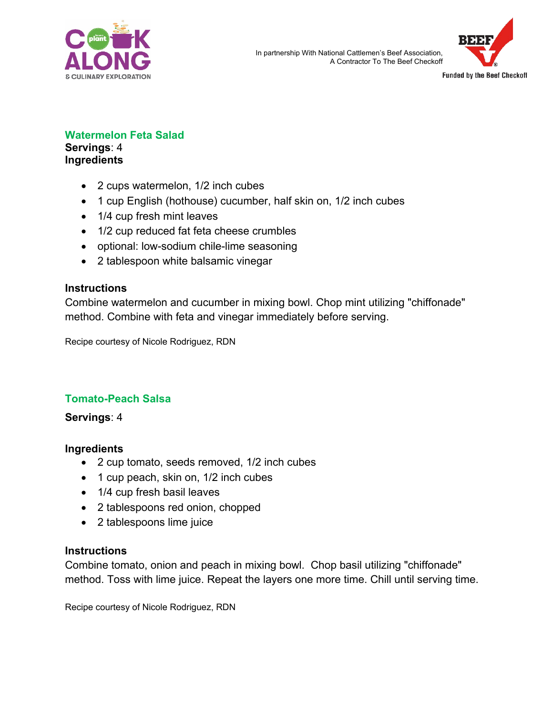



#### **Watermelon Feta Salad Servings**: 4

**Ingredients**

- 2 cups watermelon, 1/2 inch cubes
- 1 cup English (hothouse) cucumber, half skin on, 1/2 inch cubes
- 1/4 cup fresh mint leaves
- 1/2 cup reduced fat feta cheese crumbles
- optional: low-sodium chile-lime seasoning
- 2 tablespoon white balsamic vinegar

# **Instructions**

Combine watermelon and cucumber in mixing bowl. Chop mint utilizing "chiffonade" method. Combine with feta and vinegar immediately before serving.

Recipe courtesy of Nicole Rodriguez, RDN

# **Tomato-Peach Salsa**

## **Servings**: 4

## **Ingredients**

- 2 cup tomato, seeds removed, 1/2 inch cubes
- 1 cup peach, skin on, 1/2 inch cubes
- 1/4 cup fresh basil leaves
- 2 tablespoons red onion, chopped
- 2 tablespoons lime juice

## **Instructions**

Combine tomato, onion and peach in mixing bowl. Chop basil utilizing "chiffonade" method. Toss with lime juice. Repeat the layers one more time. Chill until serving time.

Recipe courtesy of Nicole Rodriguez, RDN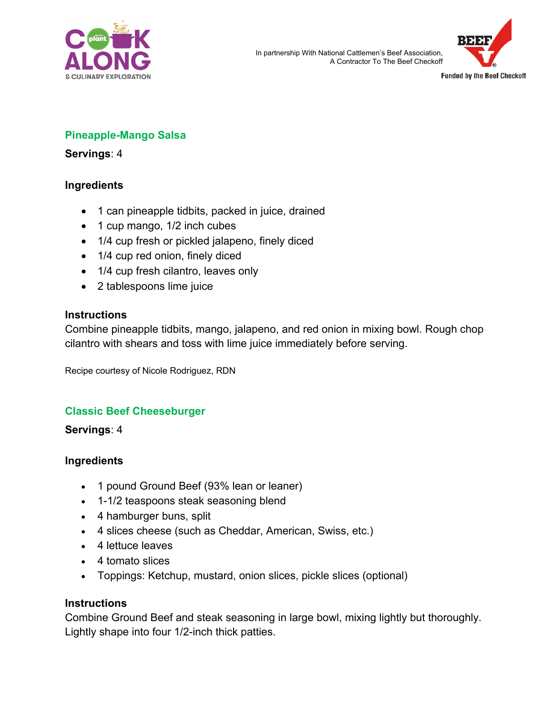



## **Pineapple-Mango Salsa**

#### **Servings**: 4

### **Ingredients**

- 1 can pineapple tidbits, packed in juice, drained
- 1 cup mango, 1/2 inch cubes
- 1/4 cup fresh or pickled jalapeno, finely diced
- 1/4 cup red onion, finely diced
- 1/4 cup fresh cilantro, leaves only
- 2 tablespoons lime juice

#### **Instructions**

Combine pineapple tidbits, mango, jalapeno, and red onion in mixing bowl. Rough chop cilantro with shears and toss with lime juice immediately before serving.

Recipe courtesy of Nicole Rodriguez, RDN

## **Classic Beef Cheeseburger**

**Servings**: 4

### **Ingredients**

- 1 pound Ground Beef (93% lean or leaner)
- 1-1/2 teaspoons steak seasoning blend
- 4 hamburger buns, split
- 4 slices cheese (such as Cheddar, American, Swiss, etc.)
- 4 lettuce leaves
- 4 tomato slices
- Toppings: Ketchup, mustard, onion slices, pickle slices (optional)

### **Instructions**

Combine Ground Beef and steak seasoning in large bowl, mixing lightly but thoroughly. Lightly shape into four 1/2-inch thick patties.